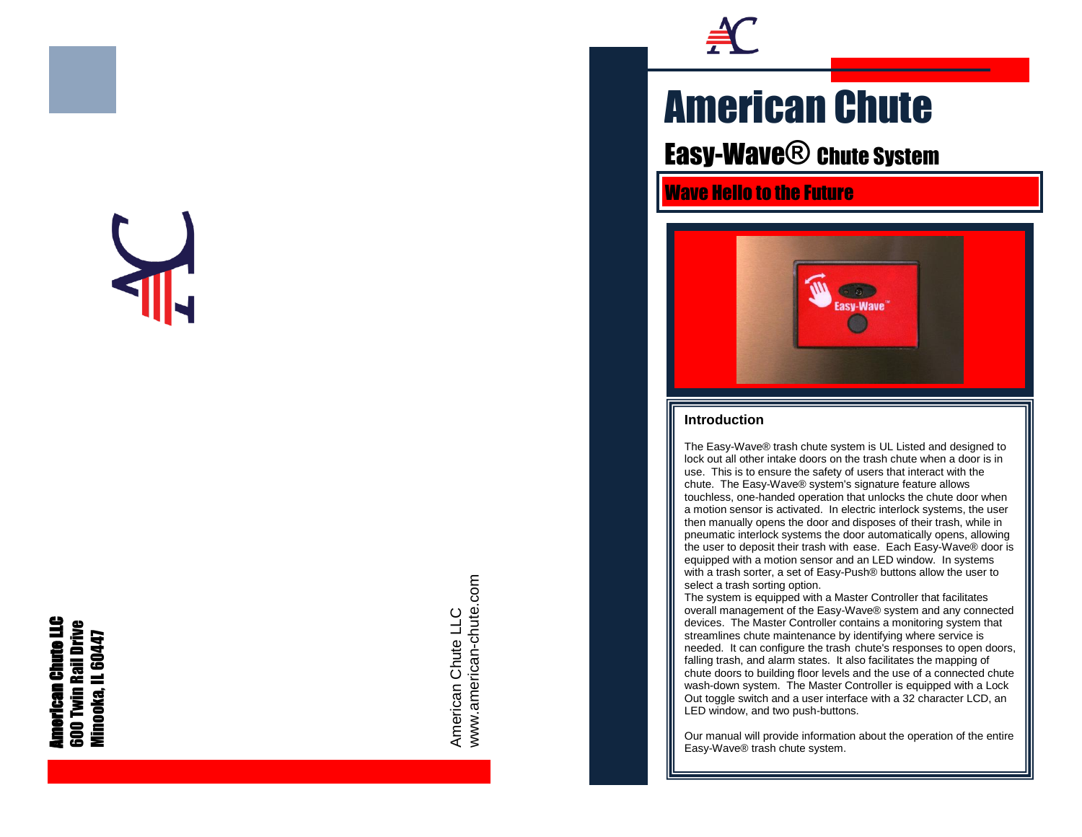# **American Chute LLC**<br>600 Twin Rail Drive<br>Minooka, IL 60447 Minooka, IL 60447



www.american-chute.com www.american-chute.com American Chute LLC American Chute LLC



## American Chute

Easy-Wave<sup>®</sup> chute System

Wave Hello to the Future



#### **Introduction**

The Easy -Wave® trash chute system is UL Listed and designed to lock out all other intake doors on the trash chute when a door is in use. This is to ensure the safety of users that interact with the chute. The Easy -Wave® system's signature feature allows touchless, one -handed operation that unlocks the chute door when a motion sensor is activated. In electric interlock systems, the user then manually opens the door and disposes of their trash, while in pneumatic interlock systems the door automatically opens, allowing the user to deposit their trash with ease. Each Easy -Wave® door is equipped with a motion sensor and an LED window. In systems with a trash sorter, a set of Easy -Push® buttons allow the user to select a trash sorting option.

The system is equipped with a Master Controller that facilitates overall management of the Easy -Wave® system and any connected devices. The Master Controller contains a monitoring system that streamlines chute maintenance by identifying where service is needed. It can configure the trash chute's responses to open doors, falling trash, and alarm states. It also facilitates the mapping of chute doors to building floor levels and the use of a connected chute wash -down system. The Master Controller is equipped with a Lock Out toggle switch and a user interface with a 32 character LCD, an LED window, and two push -buttons.

Our manual will provide information about the operation of the entire Easy -Wave® trash chute system.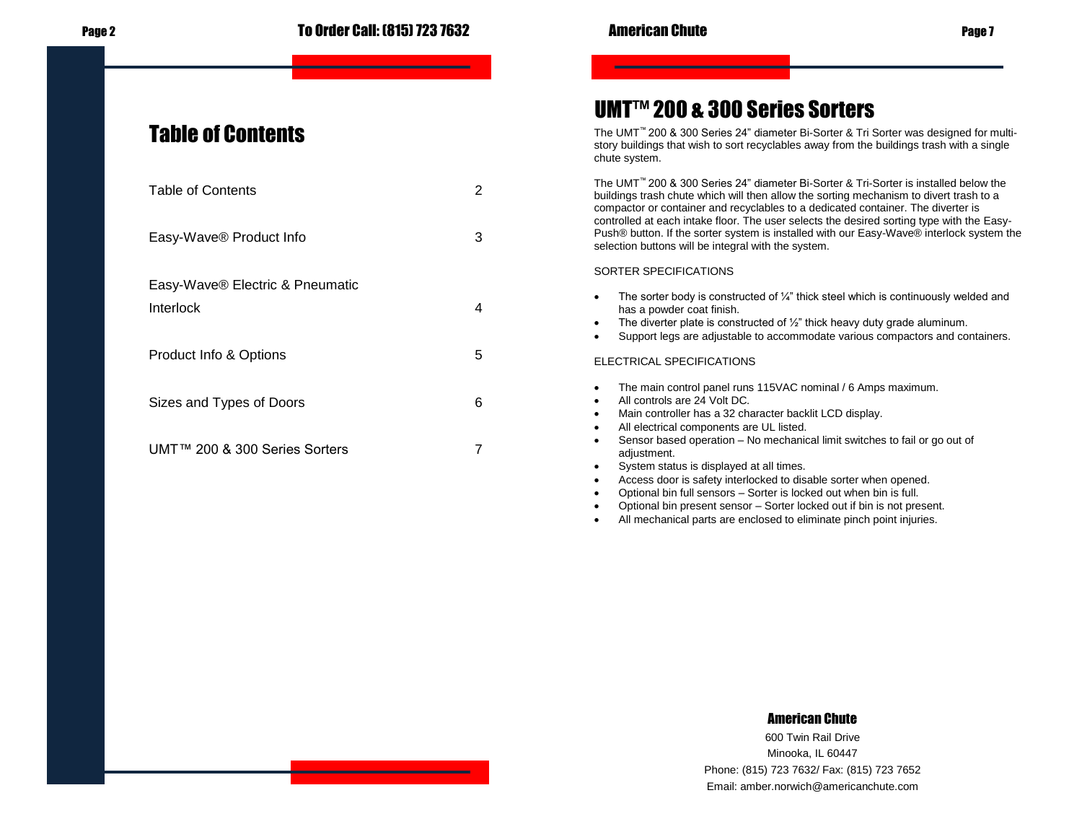| <b>Table of Contents</b>            | 2 |
|-------------------------------------|---|
| Easy-Wave <sup>®</sup> Product Info | 3 |
| Easy-Wave® Electric & Pneumatic     |   |
| Interlock                           | 4 |
| Product Info & Options              | 5 |
| Sizes and Types of Doors            | 6 |
| UMT™ 200 & 300 Series Sorters       | 7 |

## UMT™ 200 & 300 Series Sorters

The UMT™ 200 & 300 Series 24" diameter Bi-Sorter & Tri Sorter was designed for multistory buildings that wish to sort recyclables away from the buildings trash with a single chute system.

The UMT™ 200 & 300 Series 24" diameter Bi-Sorter & Tri-Sorter is installed below the buildings trash chute which will then allow the sorting mechanism to divert trash to a compactor or container and recyclables to a dedicated container. The diverter is controlled at each intake floor. The user selects the desired sorting type with the Easy-Push® button. If the sorter system is installed with our Easy-Wave® interlock system the selection buttons will be integral with the system.

#### SORTER SPECIFICATIONS

- The sorter body is constructed of  $\frac{1}{4}$ " thick steel which is continuously welded and has a powder coat finish.
- The diverter plate is constructed of  $\frac{1}{2}$ " thick heavy duty grade aluminum.
- Support legs are adjustable to accommodate various compactors and containers.

#### ELECTRICAL SPECIFICATIONS

- The main control panel runs 115VAC nominal / 6 Amps maximum.
- All controls are 24 Volt DC.
- Main controller has a 32 character backlit LCD display.
- All electrical components are UL listed.
- Sensor based operation No mechanical limit switches to fail or go out of adiustment.
- System status is displayed at all times.
- Access door is safety interlocked to disable sorter when opened.
- Optional bin full sensors Sorter is locked out when bin is full.
- Optional bin present sensor Sorter locked out if bin is not present.
- All mechanical parts are enclosed to eliminate pinch point injuries.

#### American Chute

600 Twin Rail Drive Minooka, IL 60447 Phone: (815) 723 7632/ Fax: (815) 723 7652 Email: amber.norwich@americanchute.com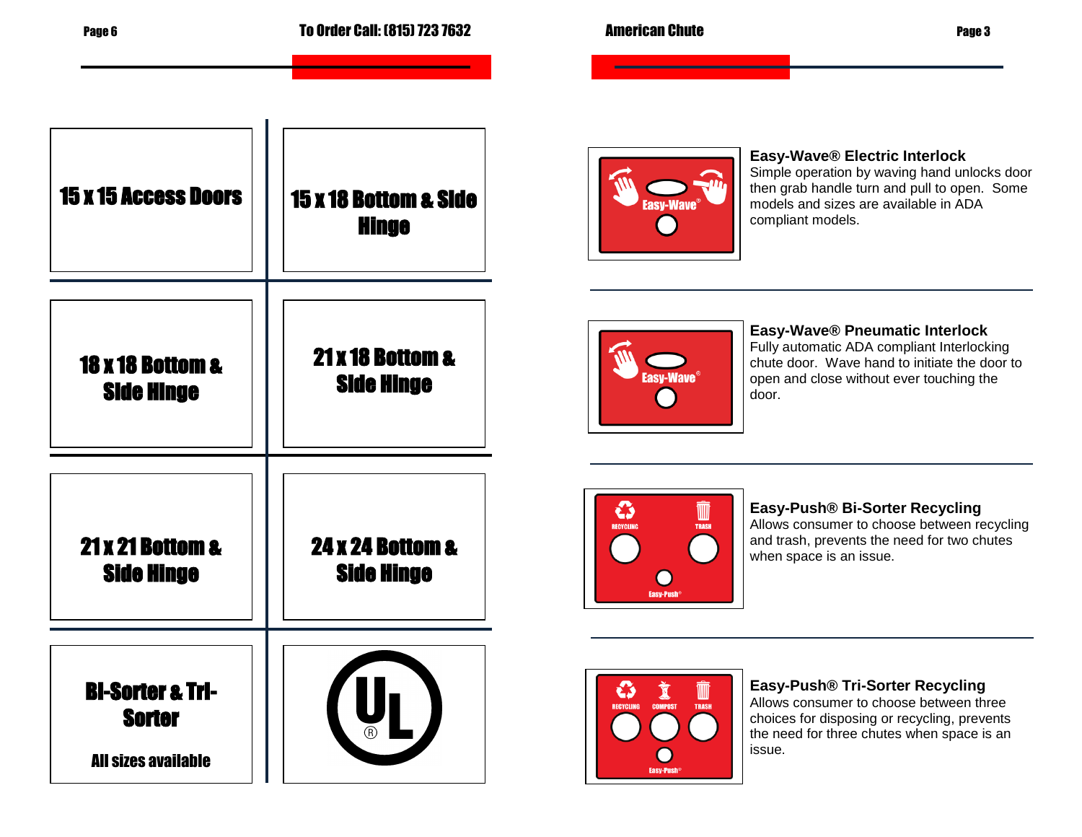| <b>15 x 15 Access Doors</b>                                                | <b>15 x 18 Bottom &amp; Side</b><br><b>Hinge</b> | Easy-Wave® Electric Interlock<br>Simple operation by waving hand unlocks door<br>then grab handle turn and pull to open. Some<br>models and sizes are available in ADA<br>compliant models.                                                                             |
|----------------------------------------------------------------------------|--------------------------------------------------|-------------------------------------------------------------------------------------------------------------------------------------------------------------------------------------------------------------------------------------------------------------------------|
| <b>18 x 18 Bottom &amp;</b><br><b>Side Hinge</b>                           | 21 x 18 Bottom &<br><b>Side Hinge</b>            | Easy-Wave® Pneumatic Interlock<br>Fully automatic ADA compliant Interlocking<br>chute door. Wave hand to initiate the door to<br>Easy-Wave <sup>®</sup><br>open and close without ever touching the<br>door.                                                            |
| <b>21 x 21 Bottom &amp;</b><br><b>Side Hinge</b>                           | <b>24 x 24 Bottom &amp;</b><br><b>Side Hinge</b> | Easy-Push® Bi-Sorter Recycling<br>۞<br>M<br>Allows consumer to choose between recycling<br><b>RECYCLING</b><br><b>TRASH</b><br>and trash, prevents the need for two chutes<br>when space is an issue.<br><b>Easy-Push</b>                                               |
| <b>Bi-Sorter &amp; Tri-</b><br><b>Sorter</b><br><b>All sizes available</b> |                                                  | Easy-Push® Tri-Sorter Recycling<br>W<br>ČJ<br>Allows consumer to choose between three<br><b>TRASH</b><br><b>RECYCLING</b><br><b>COMPOST</b><br>choices for disposing or recycling, prevents<br>the need for three chutes when space is an<br>issue.<br><b>Easy-Push</b> |